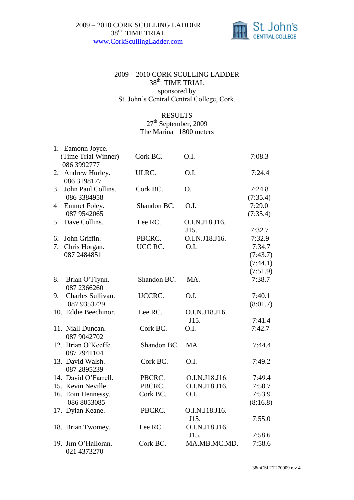

## 2009 – 2010 CORK SCULLING LADDER 38<sup>th</sup> TIME TRIAL sponsored by St. John's Central Central College, Cork.

## RESULTS

27<sup>th</sup> September, 2009 The Marina 1800 meters

|    | 1. Eamonn Joyce.     |             |                |          |
|----|----------------------|-------------|----------------|----------|
|    | (Time Trial Winner)  | Cork BC.    | O.I.           | 7:08.3   |
|    | 086 3992777          |             |                |          |
| 2. | Andrew Hurley.       | ULRC.       | O.I.           | 7:24.4   |
|    | 086 3198177          |             |                |          |
| 3. | John Paul Collins.   | Cork BC.    | Ο.             | 7:24.8   |
|    | 086 3384958          |             |                | (7:35.4) |
| 4  | Emmet Foley.         | Shandon BC. | O.I.           | 7:29.0   |
|    | 087 9542065          |             |                | (7:35.4) |
| 5. | Dave Collins.        | Lee RC.     | O.I.N.J18.J16. |          |
|    |                      |             | J15.           | 7:32.7   |
| 6. | John Griffin.        | PBCRC.      | O.I.N.J18.J16. | 7:32.9   |
| 7. | Chris Horgan.        | UCC RC.     | O.I.           | 7:34.7   |
|    | 087 2484851          |             |                | (7:43.7) |
|    |                      |             |                | (7:44.1) |
|    |                      |             |                | (7:51.9) |
| 8. | Brian O'Flynn.       | Shandon BC. | MA.            | 7:38.7   |
|    | 087 2366260          |             |                |          |
| 9. | Charles Sullivan.    | UCCRC.      | O.I.           | 7:40.1   |
|    | 087 9353729          |             |                | (8:01.7) |
|    | 10. Eddie Beechinor. | Lee RC.     | O.I.N.J18.J16. |          |
|    |                      |             | J15.           | 7:41.4   |
|    | 11. Niall Duncan.    | Cork BC.    | O.I.           | 7:42.7   |
|    | 087 9042702          |             |                |          |
|    | 12. Brian O'Keeffe.  | Shandon BC. | <b>MA</b>      | 7:44.4   |
|    | 087 2941104          |             |                |          |
|    | 13. David Walsh.     | Cork BC.    | O.I.           | 7:49.2   |
|    | 087 2895239          |             |                |          |
|    | 14. David O'Farrell. | PBCRC.      | O.I.N.J18.J16. | 7:49.4   |
|    | 15. Kevin Neville.   | PBCRC.      | O.I.N.J18.J16. | 7:50.7   |
|    | 16. Eoin Hennessy.   | Cork BC.    | O.I.           | 7:53.9   |
|    | 086 8053085          |             |                | (8:16.8) |
|    | 17. Dylan Keane.     | PBCRC.      | O.I.N.J18.J16. |          |
|    |                      |             | J15.           | 7:55.0   |
|    | 18. Brian Twomey.    | Lee RC.     | O.I.N.J18.J16. |          |
|    |                      |             | J15.           | 7:58.6   |
|    | 19. Jim O'Halloran.  | Cork BC.    | MA.MB.MC.MD.   | 7:58.6   |
|    | 021 4373270          |             |                |          |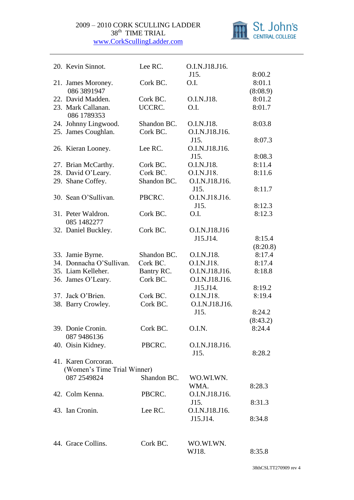

| 20. Kevin Sinnot.           | Lee RC.     | O.I.N.J18.J16. |          |
|-----------------------------|-------------|----------------|----------|
|                             |             | J15.           | 8:00.2   |
| 21. James Moroney.          | Cork BC.    | O.I.           | 8:01.1   |
| 086 3891947                 |             |                | (8:08.9) |
| 22. David Madden.           | Cork BC.    | O.I.N.J18.     | 8:01.2   |
| 23. Mark Callanan.          | UCCRC.      | O.I.           | 8:01.7   |
| 086 1789353                 |             |                |          |
| 24. Johnny Lingwood.        | Shandon BC. | O.I.N.J18.     | 8:03.8   |
| 25. James Coughlan.         | Cork BC.    | O.I.N.J18.J16. |          |
|                             |             | J15.           | 8:07.3   |
| 26. Kieran Looney.          | Lee RC.     | O.I.N.J18.J16. |          |
|                             |             | J15.           | 8:08.3   |
| 27. Brian McCarthy.         | Cork BC.    | O.I.N.J18.     | 8:11.4   |
| 28. David O'Leary.          | Cork BC.    | O.I.N.J18.     | 8:11.6   |
| 29. Shane Coffey.           | Shandon BC. | O.I.N.J18.J16. |          |
|                             |             | J15.           | 8:11.7   |
| 30. Sean O'Sullivan.        | PBCRC.      | O.I.N.J18.J16. |          |
|                             |             | J15.           | 8:12.3   |
| 31. Peter Waldron.          | Cork BC.    | O.I.           | 8:12.3   |
| 085 1482277                 |             |                |          |
| 32. Daniel Buckley.         | Cork BC.    | O.I.N.J18.J16  |          |
|                             |             | J15.J14.       | 8:15.4   |
|                             |             |                | (8:20.8) |
| 33. Jamie Byrne.            | Shandon BC. | O.I.N.J18.     | 8:17.4   |
| 34. Donnacha O'Sullivan.    | Cork BC.    | O.I.N.J18.     | 8:17.4   |
| 35. Liam Kelleher.          | Bantry RC.  | O.I.N.J18.J16. | 8:18.8   |
| 36. James O'Leary.          | Cork BC.    | O.I.N.J18.J16. |          |
|                             |             | J15.J14.       | 8:19.2   |
| 37. Jack O'Brien.           | Cork BC.    | O.I.N.J18.     | 8:19.4   |
| 38. Barry Crowley.          | Cork BC.    | O.I.N.J18.J16. |          |
|                             |             | J15.           | 8:24.2   |
|                             |             |                | (8:43.2) |
| 39. Donie Cronin.           | Cork BC.    | O.I.N.         | 8:24.4   |
| 087 9486136                 |             |                |          |
| 40. Oisin Kidney.           | PBCRC.      | O.I.N.J18.J16. |          |
|                             |             | J15.           | 8:28.2   |
| 41. Karen Corcoran.         |             |                |          |
| (Women's Time Trial Winner) |             |                |          |
| 087 2549824                 | Shandon BC. | WO.WI.WN.      |          |
|                             |             | WMA.           | 8:28.3   |
| 42. Colm Kenna.             | PBCRC.      | O.I.N.J18.J16. |          |
|                             |             | J15.           | 8:31.3   |
| 43. Ian Cronin.             | Lee RC.     | O.I.N.J18.J16. |          |
|                             |             | J15.J14.       | 8:34.8   |
|                             |             |                |          |
|                             |             |                |          |
| 44. Grace Collins.          | Cork BC.    | WO.WI.WN.      |          |
|                             |             | WJ18.          | 8:35.8   |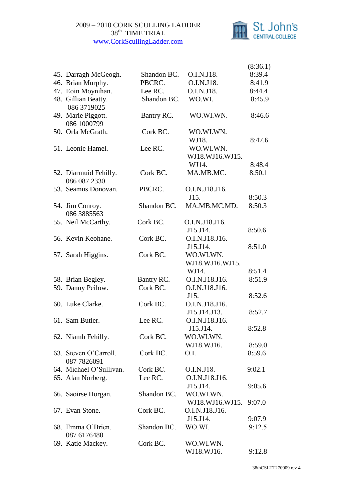

|                                       |             |                              | (8:36.1) |
|---------------------------------------|-------------|------------------------------|----------|
| 45. Darragh McGeogh.                  | Shandon BC. | O.I.N.J18.                   | 8:39.4   |
| 46. Brian Murphy.                     | PBCRC.      | O.I.N.J18.                   | 8:41.9   |
| 47. Eoin Moynihan.                    | Lee RC.     | O.I.N.J18.                   | 8:44.4   |
| 48. Gillian Beatty.<br>086 3719025    | Shandon BC. | WO.WI.                       | 8:45.9   |
| 49. Marie Piggott.<br>086 1000799     | Bantry RC.  | WO.WI.WN.                    | 8:46.6   |
| 50. Orla McGrath.                     | Cork BC.    | WO.WI.WN.<br>WJ18.           | 8:47.6   |
| 51. Leonie Hamel.                     | Lee RC.     | WO.WI.WN.<br>WJ18.WJ16.WJ15. |          |
|                                       |             | WJ14.                        | 8:48.4   |
| 52. Diarmuid Fehilly.<br>086 087 2330 | Cork BC.    | MA.MB.MC.                    | 8:50.1   |
| 53. Seamus Donovan.                   | PBCRC.      | O.I.N.J18.J16.               |          |
|                                       |             | J15.                         | 8:50.3   |
| 54. Jim Conroy.<br>086 3885563        | Shandon BC. | MA.MB.MC.MD.                 | 8:50.3   |
| 55. Neil McCarthy.                    | Cork BC.    | O.I.N.J18.J16.               |          |
|                                       |             | J15.J14.                     | 8:50.6   |
| 56. Kevin Keohane.                    | Cork BC.    | O.I.N.J18.J16.               |          |
|                                       |             | J15.J14.                     | 8:51.0   |
| 57. Sarah Higgins.                    | Cork BC.    | WO.WI.WN.                    |          |
|                                       |             | WJ18.WJ16.WJ15.              |          |
|                                       |             | WJ14.                        | 8:51.4   |
| 58. Brian Begley.                     | Bantry RC.  | O.I.N.J18.J16.               | 8:51.9   |
| 59. Danny Peilow.                     | Cork BC.    | O.I.N.J18.J16.               |          |
|                                       |             | J15.                         | 8:52.6   |
| 60. Luke Clarke.                      | Cork BC.    | O.I.N.J18.J16.               |          |
|                                       |             | J15.J14.J13.                 | 8:52.7   |
| 61. Sam Butler.                       | Lee RC.     | O.I.N.J18.J16.               |          |
|                                       |             | J15.J14.                     | 8:52.8   |
| 62. Niamh Fehilly.                    | Cork BC.    | WO.WI.WN.                    |          |
|                                       |             | WJ18.WJ16.                   | 8:59.0   |
| 63. Steven O'Carroll.<br>087 7826091  | Cork BC.    | O.I.                         | 8:59.6   |
| 64. Michael O'Sullivan.               | Cork BC.    | O.I.N.J18.                   | 9:02.1   |
| 65. Alan Norberg.                     | Lee RC.     | O.I.N.J18.J16.               |          |
|                                       |             | J15.J14.                     | 9:05.6   |
| 66. Saoirse Horgan.                   | Shandon BC. | WO.WI.WN.                    |          |
|                                       |             | WJ18.WJ16.WJ15.              | 9:07.0   |
| 67. Evan Stone.                       | Cork BC.    | O.I.N.J18.J16.               |          |
|                                       |             | J15.J14.                     | 9:07.9   |
| 68. Emma O'Brien.                     | Shandon BC. | WO.WI.                       | 9:12.5   |
| 087 6176480                           |             |                              |          |
| 69. Katie Mackey.                     | Cork BC.    | WO.WI.WN.                    |          |
|                                       |             | WJ18.WJ16.                   | 9:12.8   |
|                                       |             |                              |          |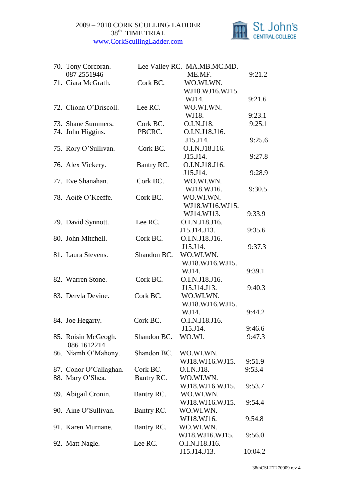

| 70. Tony Corcoran.     |             | Lee Valley RC. MA.MB.MC.MD. |         |
|------------------------|-------------|-----------------------------|---------|
| 087 2551946            |             | ME.MF.                      | 9:21.2  |
| 71. Ciara McGrath.     | Cork BC.    | WO.WI.WN.                   |         |
|                        |             | WJ18.WJ16.WJ15.             |         |
|                        |             | WJ14.                       | 9:21.6  |
| 72. Cliona O'Driscoll. | Lee RC.     | WO.WI.WN.                   |         |
|                        |             | WJ18.                       | 9:23.1  |
| 73. Shane Summers.     | Cork BC.    | O.I.N.J18.                  | 9:25.1  |
| 74. John Higgins.      | PBCRC.      | O.I.N.J18.J16.              |         |
| 75. Rory O'Sullivan.   | Cork BC.    | J15.J14.<br>O.I.N.J18.J16.  | 9:25.6  |
|                        |             | J15.J14.                    | 9:27.8  |
| 76. Alex Vickery.      | Bantry RC.  | O.I.N.J18.J16.              |         |
|                        |             | J15.J14.                    | 9:28.9  |
| 77. Eve Shanahan.      | Cork BC.    | WO.WI.WN.                   |         |
|                        |             | WJ18.WJ16.                  | 9:30.5  |
| 78. Aoife O'Keeffe.    | Cork BC.    | WO.WI.WN.                   |         |
|                        |             | WJ18.WJ16.WJ15.             |         |
|                        |             | WJ14.WJ13.                  | 9:33.9  |
| 79. David Synnott.     | Lee RC.     | O.I.N.J18.J16.              |         |
|                        |             | J15.J14.J13.                | 9:35.6  |
| 80. John Mitchell.     | Cork BC.    | O.I.N.J18.J16.              |         |
|                        |             | J15.J14.                    | 9:37.3  |
| 81. Laura Stevens.     | Shandon BC. | WO.WI.WN.                   |         |
|                        |             | WJ18.WJ16.WJ15.             |         |
|                        |             | WJ14.                       | 9:39.1  |
| 82. Warren Stone.      | Cork BC.    | O.I.N.J18.J16.              |         |
|                        |             | J15.J14.J13.                | 9:40.3  |
| 83. Dervla Devine.     | Cork BC.    | WO.WI.WN.                   |         |
|                        |             | WJ18.WJ16.WJ15.             |         |
|                        |             | WJ14.                       | 9:44.2  |
| 84. Joe Hegarty.       | Cork BC.    | O.I.N.J18.J16.              |         |
|                        |             | J15.J14.                    | 9:46.6  |
| 85. Roisin McGeogh.    | Shandon BC. | WO.WI.                      | 9:47.3  |
| 086 1612214            |             |                             |         |
| 86. Niamh O'Mahony.    | Shandon BC. | WO.WI.WN.                   |         |
|                        |             | WJ18.WJ16.WJ15.             | 9:51.9  |
| 87. Conor O'Callaghan. | Cork BC.    | O.I.N.J18.                  | 9:53.4  |
| 88. Mary O'Shea.       | Bantry RC.  | WO.WI.WN.                   |         |
|                        |             | WJ18.WJ16.WJ15.             | 9:53.7  |
| 89. Abigail Cronin.    | Bantry RC.  | WO.WI.WN.                   |         |
|                        |             | WJ18.WJ16.WJ15.             | 9:54.4  |
| 90. Aine O'Sullivan.   | Bantry RC.  | WO.WI.WN.                   |         |
|                        |             | WJ18.WJ16.                  | 9:54.8  |
| 91. Karen Murnane.     | Bantry RC.  | WO.WI.WN.                   |         |
|                        |             | WJ18.WJ16.WJ15.             | 9:56.0  |
| 92. Matt Nagle.        | Lee RC.     | O.I.N.J18.J16.              |         |
|                        |             | J15.J14.J13.                | 10:04.2 |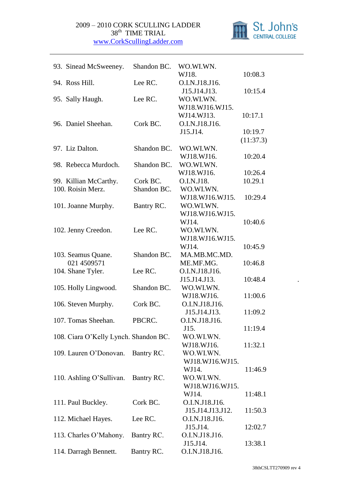

| 93. Sinead McSweeney.                 | Shandon BC. | WO.WI.WN.                  |           |
|---------------------------------------|-------------|----------------------------|-----------|
|                                       |             | WJ18.                      | 10:08.3   |
| 94. Ross Hill.                        | Lee RC.     | O.I.N.J18.J16.             |           |
|                                       |             | J15.J14.J13.               | 10:15.4   |
| 95. Sally Haugh.                      | Lee RC.     | WO.WI.WN.                  |           |
|                                       |             | WJ18.WJ16.WJ15.            |           |
|                                       |             | WJ14.WJ13.                 | 10:17.1   |
| 96. Daniel Sheehan.                   | Cork BC.    | O.I.N.J18.J16.             |           |
|                                       |             | J15.J14.                   | 10:19.7   |
|                                       |             |                            | (11:37.3) |
| 97. Liz Dalton.                       | Shandon BC. | WO.WI.WN.                  |           |
|                                       |             | WJ18.WJ16.                 | 10:20.4   |
| 98. Rebecca Murdoch.                  | Shandon BC. | WO.WI.WN.                  |           |
|                                       |             | WJ18.WJ16.                 | 10:26.4   |
| 99. Killian McCarthy.                 | Cork BC.    | O.I.N.J18.                 | 10.29.1   |
| 100. Roisin Merz.                     | Shandon BC. | WO.WI.WN.                  |           |
|                                       |             | WJ18.WJ16.WJ15.            | 10:29.4   |
| 101. Joanne Murphy.                   | Bantry RC.  | WO.WI.WN.                  |           |
|                                       |             | WJ18.WJ16.WJ15.            |           |
|                                       |             | WJ14.                      | 10:40.6   |
| 102. Jenny Creedon.                   | Lee RC.     | WO.WI.WN.                  |           |
|                                       |             | WJ18.WJ16.WJ15.            |           |
|                                       |             | WJ14.                      | 10:45.9   |
| 103. Seamus Quane.                    | Shandon BC. | MA.MB.MC.MD.               |           |
| 021 4509571                           |             | ME.MF.MG.                  | 10:46.8   |
| 104. Shane Tyler.                     | Lee RC.     | O.I.N.J18.J16.             |           |
|                                       |             | J15.J14.J13.               | 10:48.4   |
| 105. Holly Lingwood.                  | Shandon BC. | WO.WI.WN.                  |           |
|                                       |             | WJ18.WJ16.                 | 11:00.6   |
| 106. Steven Murphy.                   | Cork BC.    | O.I.N.J18.J16.             |           |
|                                       |             | J15.J14.J13.               | 11:09.2   |
| 107. Tomas Sheehan.                   | PBCRC.      | O.I.N.J18.J16.             |           |
|                                       |             | J15.                       | 11:19.4   |
| 108. Ciara O'Kelly Lynch. Shandon BC. |             | WO.WI.WN.                  |           |
|                                       |             | WJ18.WJ16.                 | 11:32.1   |
| 109. Lauren O'Donovan.                | Bantry RC.  | WO.WI.WN.                  |           |
|                                       |             | WJ18.WJ16.WJ15.            |           |
|                                       |             | WJ14.                      | 11:46.9   |
| 110. Ashling O'Sullivan.              | Bantry RC.  | WO.WI.WN.                  |           |
|                                       |             | WJ18.WJ16.WJ15.            |           |
|                                       |             | WJ14.                      | 11:48.1   |
| 111. Paul Buckley.                    | Cork BC.    | O.I.N.J18.J16.             |           |
|                                       |             | J15.J14.J13.J12.           | 11:50.3   |
| 112. Michael Hayes.                   | Lee RC.     | O.I.N.J18.J16.             |           |
|                                       |             | J15.J14.                   | 12:02.7   |
| 113. Charles O'Mahony.                | Bantry RC.  | O.I.N.J18.J16.<br>J15.J14. | 13:38.1   |
| 114. Darragh Bennett.                 | Bantry RC.  | O.I.N.J18.J16.             |           |
|                                       |             |                            |           |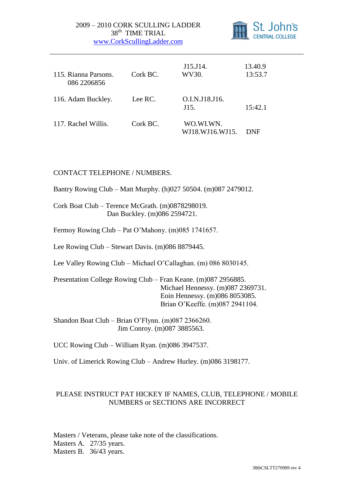

| 115. Rianna Parsons.<br>086 2206856 | Cork BC. | J15.J14.<br>WV30.            | 13.40.9<br>13:53.7 |
|-------------------------------------|----------|------------------------------|--------------------|
| 116. Adam Buckley.                  | Lee RC.  | O.I.N.J18.J16.<br>J15.       | 15:42.1            |
| 117. Rachel Willis.                 | Cork BC. | WO.WI.WN.<br>WJ18.WJ16.WJ15. | DNF                |

## CONTACT TELEPHONE / NUMBERS.

Bantry Rowing Club – Matt Murphy. (h)027 50504. (m)087 2479012.

Cork Boat Club – Terence McGrath. (m)0878298019. Dan Buckley. (m)086 2594721.

Fermoy Rowing Club – Pat O'Mahony. (m)085 1741657.

Lee Rowing Club – Stewart Davis. (m)086 8879445.

Lee Valley Rowing Club – Michael O'Callaghan. (m) 086 8030145.

Presentation College Rowing Club – Fran Keane. (m)087 2956885. Michael Hennessy. (m)087 2369731. Eoin Hennessy. (m)086 8053085. Brian O'Keeffe. (m)087 2941104.

Shandon Boat Club – Brian O'Flynn. (m)087 2366260. Jim Conroy. (m)087 3885563.

UCC Rowing Club – William Ryan. (m)086 3947537.

Univ. of Limerick Rowing Club – Andrew Hurley. (m)086 3198177.

## PLEASE INSTRUCT PAT HICKEY IF NAMES, CLUB, TELEPHONE / MOBILE NUMBERS or SECTIONS ARE INCORRECT

Masters / Veterans, please take note of the classifications. Masters A. 27/35 years. Masters B. 36/43 years.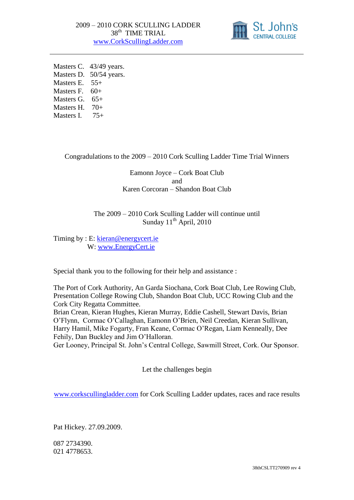

Masters C. 43/49 years. Masters D. 50/54 years. Masters E. 55+ Masters F.  $60+$ Masters G.  $65+$ Masters H. 70+ Masters I. 75+

Congradulations to the 2009 – 2010 Cork Sculling Ladder Time Trial Winners

Eamonn Joyce – Cork Boat Club and Karen Corcoran – Shandon Boat Club

The 2009 – 2010 Cork Sculling Ladder will continue until Sunday  $11^{th}$  April, 2010

Timing by : E: [kieran@energycert.ie](mailto:kieran@energycert.ie) W: [www.EnergyCert.ie](http://www.energycert.ie/)

Special thank you to the following for their help and assistance :

The Port of Cork Authority, An Garda Siochana, Cork Boat Club, Lee Rowing Club, Presentation College Rowing Club, Shandon Boat Club, UCC Rowing Club and the Cork City Regatta Committee.

Brian Crean, Kieran Hughes, Kieran Murray, Eddie Cashell, Stewart Davis, Brian O'Flynn, Cormac O'Callaghan, Eamonn O'Brien, Neil Creedan, Kieran Sullivan, Harry Hamil, Mike Fogarty, Fran Keane, Cormac O'Regan, Liam Kenneally, Dee Fehily, Dan Buckley and Jim O'Halloran.

Ger Looney, Principal St. John's Central College, Sawmill Street, Cork. Our Sponsor.

Let the challenges begin

[www.corkscullingladder.com](http://www.corkscullingladder.com/) for Cork Sculling Ladder updates, races and race results

Pat Hickey. 27.09.2009.

087 2734390. 021 4778653.